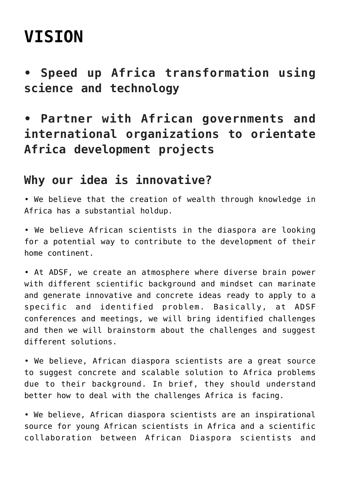## **[VISION](https://adsf.club/?page_id=52)**

**• Speed up Africa transformation using science and technology**

**• Partner with African governments and international organizations to orientate Africa development projects**

## **Why our idea is innovative?**

• We believe that the creation of wealth through knowledge in Africa has a substantial holdup.

• We believe African scientists in the diaspora are looking for a potential way to contribute to the development of their home continent.

• At ADSF, we create an atmosphere where diverse brain power with different scientific background and mindset can marinate and generate innovative and concrete ideas ready to apply to a specific and identified problem. Basically, at ADSF conferences and meetings, we will bring identified challenges and then we will brainstorm about the challenges and suggest different solutions.

• We believe, African diaspora scientists are a great source to suggest concrete and scalable solution to Africa problems due to their background. In brief, they should understand better how to deal with the challenges Africa is facing.

• We believe, African diaspora scientists are an inspirational source for young African scientists in Africa and a scientific collaboration between African Diaspora scientists and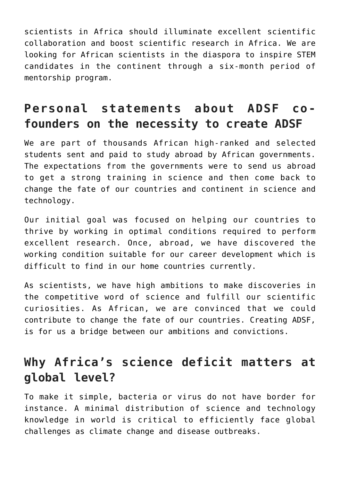scientists in Africa should illuminate excellent scientific collaboration and boost scientific research in Africa. We are looking for African scientists in the diaspora to inspire STEM candidates in the continent through a six-month period of mentorship program.

## **Personal statements about ADSF cofounders on the necessity to create ADSF**

We are part of thousands African high-ranked and selected students sent and paid to study abroad by African governments. The expectations from the governments were to send us abroad to get a strong training in science and then come back to change the fate of our countries and continent in science and technology.

Our initial goal was focused on helping our countries to thrive by working in optimal conditions required to perform excellent research. Once, abroad, we have discovered the working condition suitable for our career development which is difficult to find in our home countries currently.

As scientists, we have high ambitions to make discoveries in the competitive word of science and fulfill our scientific curiosities. As African, we are convinced that we could contribute to change the fate of our countries. Creating ADSF, is for us a bridge between our ambitions and convictions.

## **Why Africa's science deficit matters at global level?**

To make it simple, bacteria or virus do not have border for instance. A minimal distribution of science and technology knowledge in world is critical to efficiently face global challenges as climate change and disease outbreaks.